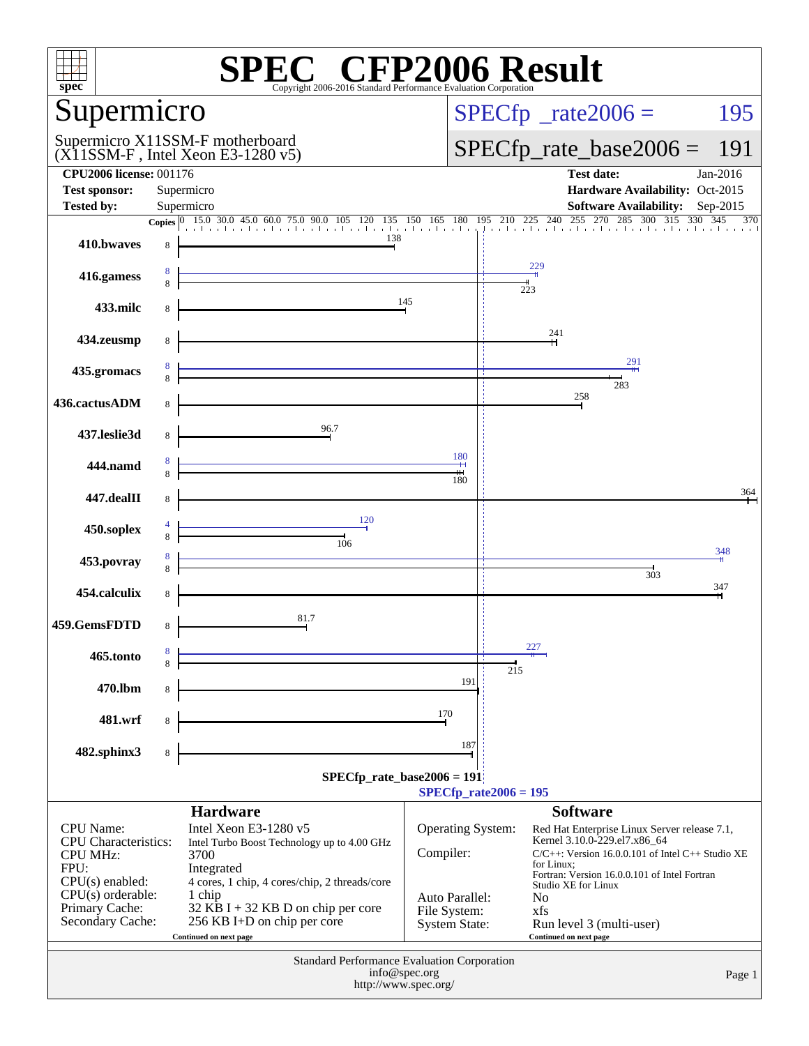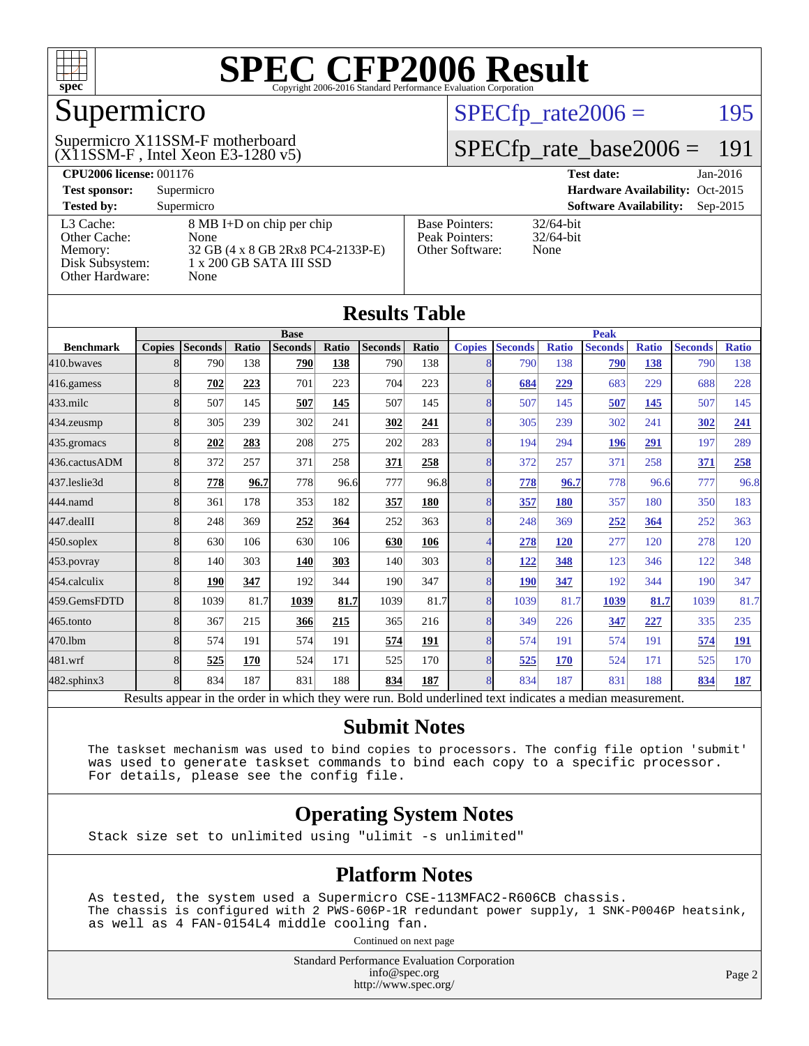

## Supermicro

#### $(X11SSM-F$ , Intel Xeon E3-1280 v5) Supermicro X11SSM-F motherboard

 $SPECTp_rate2006 = 195$ 

#### [SPECfp\\_rate\\_base2006 =](http://www.spec.org/auto/cpu2006/Docs/result-fields.html#SPECfpratebase2006) 191

| <b>CPU2006 license: 001176</b> |                                   | <b>Test date:</b><br>Jan-2016 |                                             |
|--------------------------------|-----------------------------------|-------------------------------|---------------------------------------------|
| <b>Test sponsor:</b>           | Supermicro                        |                               | Hardware Availability: Oct-2015             |
| <b>Tested by:</b>              | Supermicro                        |                               | <b>Software Availability:</b><br>$Sep-2015$ |
| L3 Cache:                      | 8 MB I+D on chip per chip         | <b>Base Pointers:</b>         | $32/64$ -bit                                |
| Other Cache:                   | None                              | Peak Pointers:                | $32/64$ -bit                                |
| Memory:                        | 32 GB (4 x 8 GB 2Rx8 PC4-2133P-E) | <b>Other Software:</b>        | None                                        |
| Disk Subsystem:                | 1 x 200 GB SATA III SSD           |                               |                                             |
| Other Hardware:                | None                              |                               |                                             |

**[Results Table](http://www.spec.org/auto/cpu2006/Docs/result-fields.html#ResultsTable)**

| Results Tadie    |                                                                                                                                                                 |                |       |                |             |                |       |               |                |              |                |              |                |              |
|------------------|-----------------------------------------------------------------------------------------------------------------------------------------------------------------|----------------|-------|----------------|-------------|----------------|-------|---------------|----------------|--------------|----------------|--------------|----------------|--------------|
|                  | <b>Base</b>                                                                                                                                                     |                |       |                | <b>Peak</b> |                |       |               |                |              |                |              |                |              |
| <b>Benchmark</b> | <b>Copies</b>                                                                                                                                                   | <b>Seconds</b> | Ratio | <b>Seconds</b> | Ratio       | <b>Seconds</b> | Ratio | <b>Copies</b> | <b>Seconds</b> | <b>Ratio</b> | <b>Seconds</b> | <b>Ratio</b> | <b>Seconds</b> | <b>Ratio</b> |
| 410.bwayes       | 8                                                                                                                                                               | 790            | 138   | 790            | 138         | 790            | 138   | 8             | 790            | 138          | 790            | 138          | 790            | 138          |
| 416.gamess       | 8                                                                                                                                                               | 702            | 223   | 701            | 223         | 704            | 223   | 8             | 684            | 229          | 683            | 229          | 688            | 228          |
| 433.milc         | 8                                                                                                                                                               | 507            | 145   | 507            | 145         | 507            | 145   | 8             | 507            | 145          | 507            | 145          | 507            | 145          |
| $434$ . zeusmp   | 8                                                                                                                                                               | 305            | 239   | 302            | 241         | 302            | 241   | 8             | 305            | 239          | 302            | 241          | 302            | 241          |
| 435.gromacs      | 8                                                                                                                                                               | 202            | 283   | 208            | 275         | 202            | 283   | 8             | 194            | 294          | 196            | 291          | 197            | 289          |
| 436.cactusADM    | 8                                                                                                                                                               | 372            | 257   | 371            | 258         | 371            | 258   | 8             | 372            | 257          | 371            | 258          | 371            | 258          |
| 437.leslie3d     | 8                                                                                                                                                               | 778            | 96.7  | 778            | 96.6        | 777            | 96.8  | 8             | 778            | 96.7         | 778            | 96.6         | 777            | 96.8         |
| 444.namd         | 8                                                                                                                                                               | 361            | 178   | 353            | 182         | <u>357</u>     | 180   | 8             | 357            | <b>180</b>   | 357            | 180          | 350            | 183          |
| 447.dealII       | 8                                                                                                                                                               | 248            | 369   | 252            | 364         | 252            | 363   | 8             | 248            | 369          | 252            | 364          | 252            | 363          |
| $450$ .soplex    | 8                                                                                                                                                               | 630            | 106   | 630            | 106         | 630            | 106   | 4             | 278            | <b>120</b>   | 277            | 120          | 278            | 120          |
| $453$ .povray    | 8                                                                                                                                                               | 140            | 303   | <b>140</b>     | 303         | 140            | 303   | 8             | 122            | 348          | 123            | 346          | 122            | 348          |
| 454.calculix     | 8                                                                                                                                                               | <b>190</b>     | 347   | 192            | 344         | 190            | 347   | 8             | <b>190</b>     | 347          | 192            | 344          | 190            | 347          |
| 459.GemsFDTD     | 8                                                                                                                                                               | 1039           | 81.7  | 1039           | 81.7        | 1039           | 81.7  | 8             | 1039           | 81.7         | 1039           | 81.7         | 1039           | 81.7         |
| 465.tonto        | 8                                                                                                                                                               | 367            | 215   | 366            | 215         | 365            | 216   | 8             | 349            | 226          | 347            | 227          | 335            | 235          |
| 470.1bm          |                                                                                                                                                                 | 574            | 191   | 574            | 191         | 574            | 191   | 8             | 574            | 191          | 574            | 191          | 574            | <u>191</u>   |
| 481.wrf          | 8                                                                                                                                                               | 525            | 170   | 524            | 171         | 525            | 170   | 8             | 525            | 170          | 524            | 171          | 525            | 170          |
| 482.sphinx3      | 8                                                                                                                                                               | 834            | 187   | 831            | 188         | 834            | 187   | 8             | 834            | 187          | 831            | 188          | 834            | <u>187</u>   |
| n.               | $\cdot$ $\cdot$<br>11.7.7.7<br>1.1<br>1.1.1<br>$\mathbf{1}$ and $\mathbf{1}$ and $\mathbf{1}$ and $\mathbf{1}$<br>$\cdot$<br>$\mathbf{1}$<br>T11<br>$1 \quad 1$ |                |       |                |             |                |       |               |                |              |                |              |                |              |

Results appear in the [order in which they were run.](http://www.spec.org/auto/cpu2006/Docs/result-fields.html#RunOrder) Bold underlined text [indicates a median measurement.](http://www.spec.org/auto/cpu2006/Docs/result-fields.html#Median)

#### **[Submit Notes](http://www.spec.org/auto/cpu2006/Docs/result-fields.html#SubmitNotes)**

 The taskset mechanism was used to bind copies to processors. The config file option 'submit' was used to generate taskset commands to bind each copy to a specific processor. For details, please see the config file.

#### **[Operating System Notes](http://www.spec.org/auto/cpu2006/Docs/result-fields.html#OperatingSystemNotes)**

Stack size set to unlimited using "ulimit -s unlimited"

#### **[Platform Notes](http://www.spec.org/auto/cpu2006/Docs/result-fields.html#PlatformNotes)**

 As tested, the system used a Supermicro CSE-113MFAC2-R606CB chassis. The chassis is configured with 2 PWS-606P-1R redundant power supply, 1 SNK-P0046P heatsink, as well as 4 FAN-0154L4 middle cooling fan.

Continued on next page

Standard Performance Evaluation Corporation [info@spec.org](mailto:info@spec.org) <http://www.spec.org/>

Page 2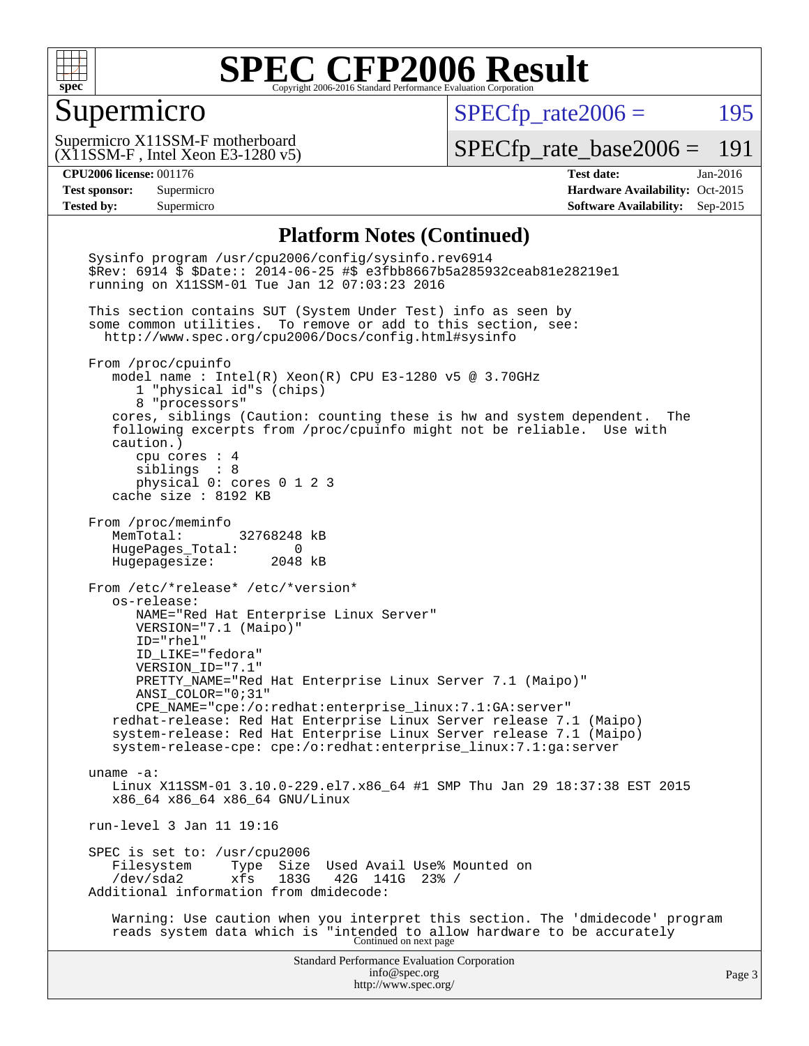

#### Supermicro

 $SPECTp\_rate2006 = 195$ 

(X11SSM-F , Intel Xeon E3-1280 v5) Supermicro X11SSM-F motherboard

[SPECfp\\_rate\\_base2006 =](http://www.spec.org/auto/cpu2006/Docs/result-fields.html#SPECfpratebase2006) 191

**[CPU2006 license:](http://www.spec.org/auto/cpu2006/Docs/result-fields.html#CPU2006license)** 001176 **[Test date:](http://www.spec.org/auto/cpu2006/Docs/result-fields.html#Testdate)** Jan-2016 **[Test sponsor:](http://www.spec.org/auto/cpu2006/Docs/result-fields.html#Testsponsor)** Supermicro Supermicro **[Hardware Availability:](http://www.spec.org/auto/cpu2006/Docs/result-fields.html#HardwareAvailability)** Oct-2015 **[Tested by:](http://www.spec.org/auto/cpu2006/Docs/result-fields.html#Testedby)** Supermicro **Supermicro [Software Availability:](http://www.spec.org/auto/cpu2006/Docs/result-fields.html#SoftwareAvailability)** Sep-2015

#### **[Platform Notes \(Continued\)](http://www.spec.org/auto/cpu2006/Docs/result-fields.html#PlatformNotes)**

Standard Performance Evaluation Corporation [info@spec.org](mailto:info@spec.org) <http://www.spec.org/> Page 3 Sysinfo program /usr/cpu2006/config/sysinfo.rev6914 \$Rev: 6914 \$ \$Date:: 2014-06-25 #\$ e3fbb8667b5a285932ceab81e28219e1 running on X11SSM-01 Tue Jan 12 07:03:23 2016 This section contains SUT (System Under Test) info as seen by some common utilities. To remove or add to this section, see: <http://www.spec.org/cpu2006/Docs/config.html#sysinfo> From /proc/cpuinfo model name : Intel(R) Xeon(R) CPU E3-1280 v5 @ 3.70GHz 1 "physical id"s (chips) 8 "processors" cores, siblings (Caution: counting these is hw and system dependent. The following excerpts from /proc/cpuinfo might not be reliable. Use with caution.) cpu cores : 4 siblings : 8 physical 0: cores 0 1 2 3 cache size : 8192 KB From /proc/meminfo MemTotal: 32768248 kB HugePages\_Total: 0 Hugepagesize: 2048 kB From /etc/\*release\* /etc/\*version\* os-release: NAME="Red Hat Enterprise Linux Server" VERSION="7.1 (Maipo)" ID="rhel" ID\_LIKE="fedora" VERSION\_ID="7.1" PRETTY\_NAME="Red Hat Enterprise Linux Server 7.1 (Maipo)" ANSI\_COLOR="0;31" CPE\_NAME="cpe:/o:redhat:enterprise\_linux:7.1:GA:server" redhat-release: Red Hat Enterprise Linux Server release 7.1 (Maipo) system-release: Red Hat Enterprise Linux Server release 7.1 (Maipo) system-release-cpe: cpe:/o:redhat:enterprise\_linux:7.1:ga:server uname -a: Linux X11SSM-01 3.10.0-229.el7.x86\_64 #1 SMP Thu Jan 29 18:37:38 EST 2015 x86\_64 x86\_64 x86\_64 GNU/Linux run-level 3 Jan 11 19:16 SPEC is set to: /usr/cpu2006<br>Filesystem Type Size Filesystem Type Size Used Avail Use% Mounted on<br>/dev/sda2 xfs 183G 42G 141G 23% / /dev/sda2 xfs 183G 42G 141G 23% / Additional information from dmidecode: Warning: Use caution when you interpret this section. The 'dmidecode' program reads system data which is "intended to allow hardware to be accurately Continued on next page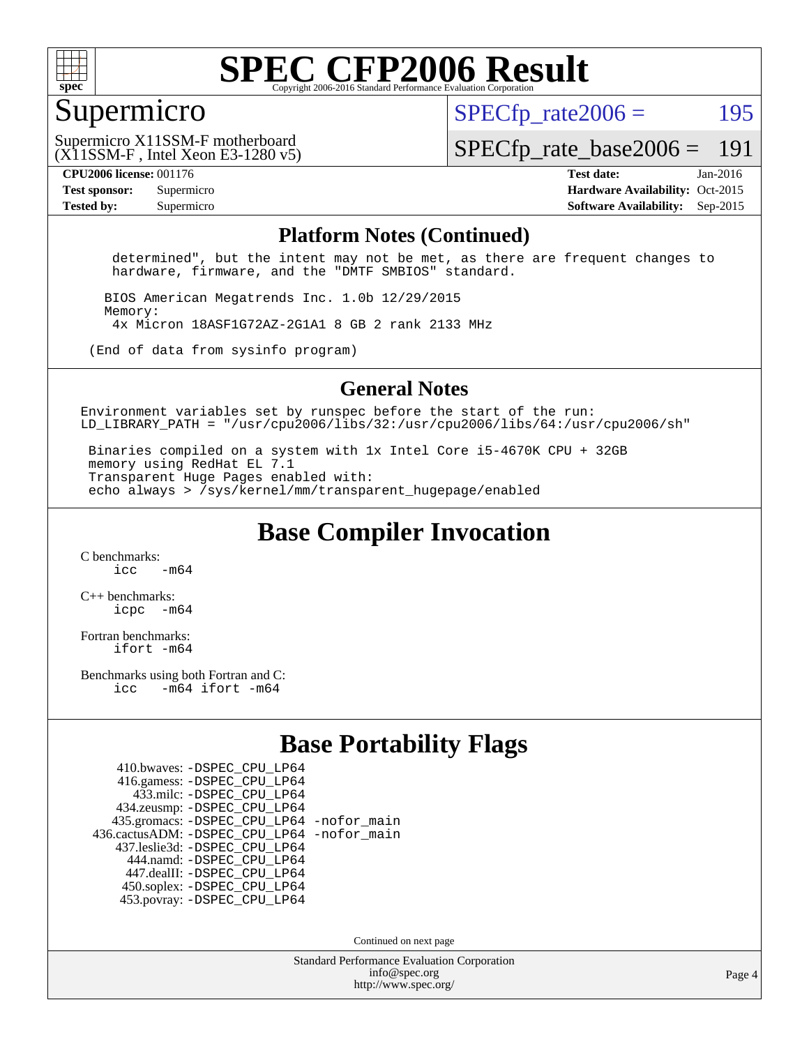

#### Supermicro

 $SPECTp\_rate2006 = 195$ 

(X11SSM-F , Intel Xeon E3-1280 v5) Supermicro X11SSM-F motherboard

[SPECfp\\_rate\\_base2006 =](http://www.spec.org/auto/cpu2006/Docs/result-fields.html#SPECfpratebase2006) 191

**[CPU2006 license:](http://www.spec.org/auto/cpu2006/Docs/result-fields.html#CPU2006license)** 001176 **[Test date:](http://www.spec.org/auto/cpu2006/Docs/result-fields.html#Testdate)** Jan-2016 **[Test sponsor:](http://www.spec.org/auto/cpu2006/Docs/result-fields.html#Testsponsor)** Supermicro Supermicro **[Hardware Availability:](http://www.spec.org/auto/cpu2006/Docs/result-fields.html#HardwareAvailability)** Oct-2015 **[Tested by:](http://www.spec.org/auto/cpu2006/Docs/result-fields.html#Testedby)** Supermicro **Supermicro [Software Availability:](http://www.spec.org/auto/cpu2006/Docs/result-fields.html#SoftwareAvailability)** Sep-2015

#### **[Platform Notes \(Continued\)](http://www.spec.org/auto/cpu2006/Docs/result-fields.html#PlatformNotes)**

 determined", but the intent may not be met, as there are frequent changes to hardware, firmware, and the "DMTF SMBIOS" standard.

 BIOS American Megatrends Inc. 1.0b 12/29/2015 Memory: 4x Micron 18ASF1G72AZ-2G1A1 8 GB 2 rank 2133 MHz

(End of data from sysinfo program)

#### **[General Notes](http://www.spec.org/auto/cpu2006/Docs/result-fields.html#GeneralNotes)**

Environment variables set by runspec before the start of the run: LD LIBRARY PATH = "/usr/cpu2006/libs/32:/usr/cpu2006/libs/64:/usr/cpu2006/sh"

 Binaries compiled on a system with 1x Intel Core i5-4670K CPU + 32GB memory using RedHat EL 7.1 Transparent Huge Pages enabled with: echo always > /sys/kernel/mm/transparent\_hugepage/enabled

**[Base Compiler Invocation](http://www.spec.org/auto/cpu2006/Docs/result-fields.html#BaseCompilerInvocation)**

[C benchmarks](http://www.spec.org/auto/cpu2006/Docs/result-fields.html#Cbenchmarks):  $\frac{1}{2}$  cc  $-$  m64

[C++ benchmarks:](http://www.spec.org/auto/cpu2006/Docs/result-fields.html#CXXbenchmarks) [icpc -m64](http://www.spec.org/cpu2006/results/res2016q1/cpu2006-20160120-38737.flags.html#user_CXXbase_intel_icpc_64bit_bedb90c1146cab66620883ef4f41a67e)

[Fortran benchmarks](http://www.spec.org/auto/cpu2006/Docs/result-fields.html#Fortranbenchmarks): [ifort -m64](http://www.spec.org/cpu2006/results/res2016q1/cpu2006-20160120-38737.flags.html#user_FCbase_intel_ifort_64bit_ee9d0fb25645d0210d97eb0527dcc06e)

[Benchmarks using both Fortran and C](http://www.spec.org/auto/cpu2006/Docs/result-fields.html#BenchmarksusingbothFortranandC): [icc -m64](http://www.spec.org/cpu2006/results/res2016q1/cpu2006-20160120-38737.flags.html#user_CC_FCbase_intel_icc_64bit_0b7121f5ab7cfabee23d88897260401c) [ifort -m64](http://www.spec.org/cpu2006/results/res2016q1/cpu2006-20160120-38737.flags.html#user_CC_FCbase_intel_ifort_64bit_ee9d0fb25645d0210d97eb0527dcc06e)

#### **[Base Portability Flags](http://www.spec.org/auto/cpu2006/Docs/result-fields.html#BasePortabilityFlags)**

| 410.bwaves: - DSPEC CPU LP64                 |  |
|----------------------------------------------|--|
| 416.gamess: -DSPEC_CPU_LP64                  |  |
| 433.milc: - DSPEC_CPU LP64                   |  |
| 434.zeusmp: -DSPEC_CPU_LP64                  |  |
| 435.gromacs: -DSPEC_CPU_LP64 -nofor_main     |  |
| 436.cactusADM: - DSPEC CPU LP64 - nofor main |  |
| 437.leslie3d: -DSPEC CPU LP64                |  |
| 444.namd: - DSPEC_CPU_LP64                   |  |
| 447.dealII: -DSPEC CPU LP64                  |  |
| 450.soplex: -DSPEC_CPU_LP64                  |  |
| 453.povray: -DSPEC CPU LP64                  |  |

Continued on next page

Standard Performance Evaluation Corporation [info@spec.org](mailto:info@spec.org) <http://www.spec.org/>

Page 4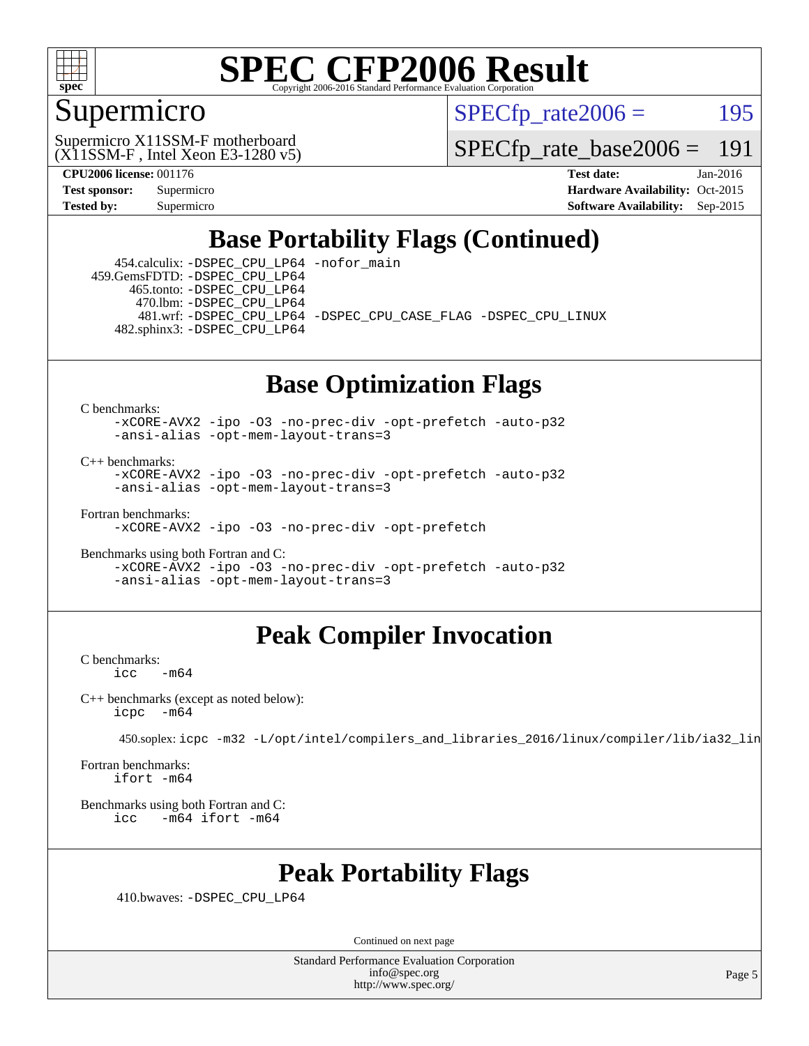

### Supermicro

 $SPECTp\_rate2006 = 195$ 

(X11SSM-F , Intel Xeon E3-1280 v5) Supermicro X11SSM-F motherboard

[SPECfp\\_rate\\_base2006 =](http://www.spec.org/auto/cpu2006/Docs/result-fields.html#SPECfpratebase2006) 191

**[CPU2006 license:](http://www.spec.org/auto/cpu2006/Docs/result-fields.html#CPU2006license)** 001176 **[Test date:](http://www.spec.org/auto/cpu2006/Docs/result-fields.html#Testdate)** Jan-2016 **[Test sponsor:](http://www.spec.org/auto/cpu2006/Docs/result-fields.html#Testsponsor)** Supermicro Supermicro **[Hardware Availability:](http://www.spec.org/auto/cpu2006/Docs/result-fields.html#HardwareAvailability)** Oct-2015 **[Tested by:](http://www.spec.org/auto/cpu2006/Docs/result-fields.html#Testedby)** Supermicro **[Software Availability:](http://www.spec.org/auto/cpu2006/Docs/result-fields.html#SoftwareAvailability)** Sep-2015

### **[Base Portability Flags \(Continued\)](http://www.spec.org/auto/cpu2006/Docs/result-fields.html#BasePortabilityFlags)**

 454.calculix: [-DSPEC\\_CPU\\_LP64](http://www.spec.org/cpu2006/results/res2016q1/cpu2006-20160120-38737.flags.html#suite_basePORTABILITY454_calculix_DSPEC_CPU_LP64) [-nofor\\_main](http://www.spec.org/cpu2006/results/res2016q1/cpu2006-20160120-38737.flags.html#user_baseLDPORTABILITY454_calculix_f-nofor_main) 459.GemsFDTD: [-DSPEC\\_CPU\\_LP64](http://www.spec.org/cpu2006/results/res2016q1/cpu2006-20160120-38737.flags.html#suite_basePORTABILITY459_GemsFDTD_DSPEC_CPU_LP64) 465.tonto: [-DSPEC\\_CPU\\_LP64](http://www.spec.org/cpu2006/results/res2016q1/cpu2006-20160120-38737.flags.html#suite_basePORTABILITY465_tonto_DSPEC_CPU_LP64) 470.lbm: [-DSPEC\\_CPU\\_LP64](http://www.spec.org/cpu2006/results/res2016q1/cpu2006-20160120-38737.flags.html#suite_basePORTABILITY470_lbm_DSPEC_CPU_LP64) 481.wrf: [-DSPEC\\_CPU\\_LP64](http://www.spec.org/cpu2006/results/res2016q1/cpu2006-20160120-38737.flags.html#suite_basePORTABILITY481_wrf_DSPEC_CPU_LP64) [-DSPEC\\_CPU\\_CASE\\_FLAG](http://www.spec.org/cpu2006/results/res2016q1/cpu2006-20160120-38737.flags.html#b481.wrf_baseCPORTABILITY_DSPEC_CPU_CASE_FLAG) [-DSPEC\\_CPU\\_LINUX](http://www.spec.org/cpu2006/results/res2016q1/cpu2006-20160120-38737.flags.html#b481.wrf_baseCPORTABILITY_DSPEC_CPU_LINUX) 482.sphinx3: [-DSPEC\\_CPU\\_LP64](http://www.spec.org/cpu2006/results/res2016q1/cpu2006-20160120-38737.flags.html#suite_basePORTABILITY482_sphinx3_DSPEC_CPU_LP64)

### **[Base Optimization Flags](http://www.spec.org/auto/cpu2006/Docs/result-fields.html#BaseOptimizationFlags)**

[C benchmarks](http://www.spec.org/auto/cpu2006/Docs/result-fields.html#Cbenchmarks):

[-xCORE-AVX2](http://www.spec.org/cpu2006/results/res2016q1/cpu2006-20160120-38737.flags.html#user_CCbase_f-xAVX2_5f5fc0cbe2c9f62c816d3e45806c70d7) [-ipo](http://www.spec.org/cpu2006/results/res2016q1/cpu2006-20160120-38737.flags.html#user_CCbase_f-ipo) [-O3](http://www.spec.org/cpu2006/results/res2016q1/cpu2006-20160120-38737.flags.html#user_CCbase_f-O3) [-no-prec-div](http://www.spec.org/cpu2006/results/res2016q1/cpu2006-20160120-38737.flags.html#user_CCbase_f-no-prec-div) [-opt-prefetch](http://www.spec.org/cpu2006/results/res2016q1/cpu2006-20160120-38737.flags.html#user_CCbase_f-opt-prefetch) [-auto-p32](http://www.spec.org/cpu2006/results/res2016q1/cpu2006-20160120-38737.flags.html#user_CCbase_f-auto-p32) [-ansi-alias](http://www.spec.org/cpu2006/results/res2016q1/cpu2006-20160120-38737.flags.html#user_CCbase_f-ansi-alias) [-opt-mem-layout-trans=3](http://www.spec.org/cpu2006/results/res2016q1/cpu2006-20160120-38737.flags.html#user_CCbase_f-opt-mem-layout-trans_a7b82ad4bd7abf52556d4961a2ae94d5)

[C++ benchmarks:](http://www.spec.org/auto/cpu2006/Docs/result-fields.html#CXXbenchmarks)

[-xCORE-AVX2](http://www.spec.org/cpu2006/results/res2016q1/cpu2006-20160120-38737.flags.html#user_CXXbase_f-xAVX2_5f5fc0cbe2c9f62c816d3e45806c70d7) [-ipo](http://www.spec.org/cpu2006/results/res2016q1/cpu2006-20160120-38737.flags.html#user_CXXbase_f-ipo) [-O3](http://www.spec.org/cpu2006/results/res2016q1/cpu2006-20160120-38737.flags.html#user_CXXbase_f-O3) [-no-prec-div](http://www.spec.org/cpu2006/results/res2016q1/cpu2006-20160120-38737.flags.html#user_CXXbase_f-no-prec-div) [-opt-prefetch](http://www.spec.org/cpu2006/results/res2016q1/cpu2006-20160120-38737.flags.html#user_CXXbase_f-opt-prefetch) [-auto-p32](http://www.spec.org/cpu2006/results/res2016q1/cpu2006-20160120-38737.flags.html#user_CXXbase_f-auto-p32) [-ansi-alias](http://www.spec.org/cpu2006/results/res2016q1/cpu2006-20160120-38737.flags.html#user_CXXbase_f-ansi-alias) [-opt-mem-layout-trans=3](http://www.spec.org/cpu2006/results/res2016q1/cpu2006-20160120-38737.flags.html#user_CXXbase_f-opt-mem-layout-trans_a7b82ad4bd7abf52556d4961a2ae94d5)

[Fortran benchmarks](http://www.spec.org/auto/cpu2006/Docs/result-fields.html#Fortranbenchmarks):

[-xCORE-AVX2](http://www.spec.org/cpu2006/results/res2016q1/cpu2006-20160120-38737.flags.html#user_FCbase_f-xAVX2_5f5fc0cbe2c9f62c816d3e45806c70d7) [-ipo](http://www.spec.org/cpu2006/results/res2016q1/cpu2006-20160120-38737.flags.html#user_FCbase_f-ipo) [-O3](http://www.spec.org/cpu2006/results/res2016q1/cpu2006-20160120-38737.flags.html#user_FCbase_f-O3) [-no-prec-div](http://www.spec.org/cpu2006/results/res2016q1/cpu2006-20160120-38737.flags.html#user_FCbase_f-no-prec-div) [-opt-prefetch](http://www.spec.org/cpu2006/results/res2016q1/cpu2006-20160120-38737.flags.html#user_FCbase_f-opt-prefetch)

[Benchmarks using both Fortran and C](http://www.spec.org/auto/cpu2006/Docs/result-fields.html#BenchmarksusingbothFortranandC): [-xCORE-AVX2](http://www.spec.org/cpu2006/results/res2016q1/cpu2006-20160120-38737.flags.html#user_CC_FCbase_f-xAVX2_5f5fc0cbe2c9f62c816d3e45806c70d7) [-ipo](http://www.spec.org/cpu2006/results/res2016q1/cpu2006-20160120-38737.flags.html#user_CC_FCbase_f-ipo) [-O3](http://www.spec.org/cpu2006/results/res2016q1/cpu2006-20160120-38737.flags.html#user_CC_FCbase_f-O3) [-no-prec-div](http://www.spec.org/cpu2006/results/res2016q1/cpu2006-20160120-38737.flags.html#user_CC_FCbase_f-no-prec-div) [-opt-prefetch](http://www.spec.org/cpu2006/results/res2016q1/cpu2006-20160120-38737.flags.html#user_CC_FCbase_f-opt-prefetch) [-auto-p32](http://www.spec.org/cpu2006/results/res2016q1/cpu2006-20160120-38737.flags.html#user_CC_FCbase_f-auto-p32) [-ansi-alias](http://www.spec.org/cpu2006/results/res2016q1/cpu2006-20160120-38737.flags.html#user_CC_FCbase_f-ansi-alias) [-opt-mem-layout-trans=3](http://www.spec.org/cpu2006/results/res2016q1/cpu2006-20160120-38737.flags.html#user_CC_FCbase_f-opt-mem-layout-trans_a7b82ad4bd7abf52556d4961a2ae94d5)

### **[Peak Compiler Invocation](http://www.spec.org/auto/cpu2006/Docs/result-fields.html#PeakCompilerInvocation)**

[C benchmarks](http://www.spec.org/auto/cpu2006/Docs/result-fields.html#Cbenchmarks):  $-m64$ 

[C++ benchmarks \(except as noted below\):](http://www.spec.org/auto/cpu2006/Docs/result-fields.html#CXXbenchmarksexceptasnotedbelow) [icpc -m64](http://www.spec.org/cpu2006/results/res2016q1/cpu2006-20160120-38737.flags.html#user_CXXpeak_intel_icpc_64bit_bedb90c1146cab66620883ef4f41a67e)

450.soplex: [icpc -m32 -L/opt/intel/compilers\\_and\\_libraries\\_2016/linux/compiler/lib/ia32\\_lin](http://www.spec.org/cpu2006/results/res2016q1/cpu2006-20160120-38737.flags.html#user_peakCXXLD450_soplex_intel_icpc_b4f50a394bdb4597aa5879c16bc3f5c5)

[Fortran benchmarks](http://www.spec.org/auto/cpu2006/Docs/result-fields.html#Fortranbenchmarks): [ifort -m64](http://www.spec.org/cpu2006/results/res2016q1/cpu2006-20160120-38737.flags.html#user_FCpeak_intel_ifort_64bit_ee9d0fb25645d0210d97eb0527dcc06e)

[Benchmarks using both Fortran and C](http://www.spec.org/auto/cpu2006/Docs/result-fields.html#BenchmarksusingbothFortranandC): [icc -m64](http://www.spec.org/cpu2006/results/res2016q1/cpu2006-20160120-38737.flags.html#user_CC_FCpeak_intel_icc_64bit_0b7121f5ab7cfabee23d88897260401c) [ifort -m64](http://www.spec.org/cpu2006/results/res2016q1/cpu2006-20160120-38737.flags.html#user_CC_FCpeak_intel_ifort_64bit_ee9d0fb25645d0210d97eb0527dcc06e)

### **[Peak Portability Flags](http://www.spec.org/auto/cpu2006/Docs/result-fields.html#PeakPortabilityFlags)**

410.bwaves: [-DSPEC\\_CPU\\_LP64](http://www.spec.org/cpu2006/results/res2016q1/cpu2006-20160120-38737.flags.html#suite_peakPORTABILITY410_bwaves_DSPEC_CPU_LP64)

Continued on next page

Standard Performance Evaluation Corporation [info@spec.org](mailto:info@spec.org) <http://www.spec.org/>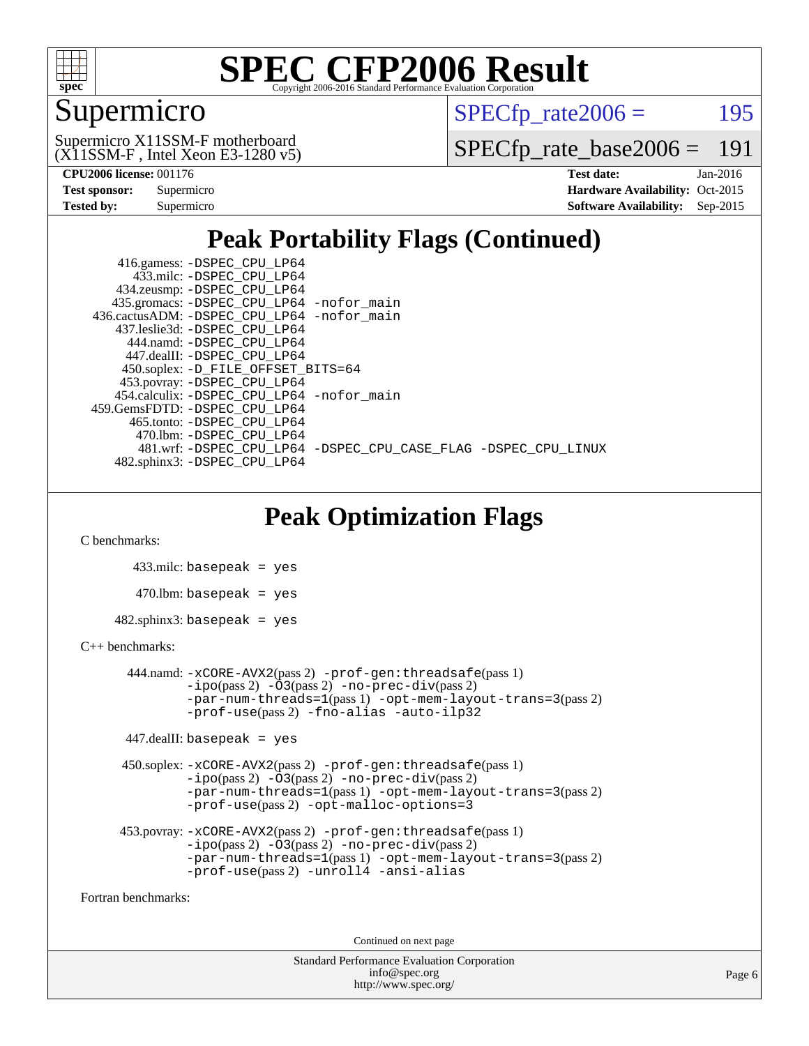

### Supermicro

 $SPECTp\_rate2006 = 195$ 

(X11SSM-F , Intel Xeon E3-1280 v5) Supermicro X11SSM-F motherboard

[SPECfp\\_rate\\_base2006 =](http://www.spec.org/auto/cpu2006/Docs/result-fields.html#SPECfpratebase2006) 191

| <b>Test sponsor:</b> | Supermicro |
|----------------------|------------|
| <b>Tested by:</b>    | Supermicro |

**[CPU2006 license:](http://www.spec.org/auto/cpu2006/Docs/result-fields.html#CPU2006license)** 001176 **[Test date:](http://www.spec.org/auto/cpu2006/Docs/result-fields.html#Testdate)** Jan-2016 **[Hardware Availability:](http://www.spec.org/auto/cpu2006/Docs/result-fields.html#HardwareAvailability)** Oct-2015 **[Software Availability:](http://www.spec.org/auto/cpu2006/Docs/result-fields.html#SoftwareAvailability)** Sep-2015

### **[Peak Portability Flags \(Continued\)](http://www.spec.org/auto/cpu2006/Docs/result-fields.html#PeakPortabilityFlags)**

| 416.gamess: -DSPEC_CPU_LP64                                    |
|----------------------------------------------------------------|
| 433.milc: -DSPEC CPU LP64                                      |
| 434.zeusmp: -DSPEC_CPU_LP64                                    |
| 435.gromacs: -DSPEC_CPU_LP64 -nofor_main                       |
| 436.cactusADM: -DSPEC CPU LP64 -nofor main                     |
| 437.leslie3d: -DSPEC CPU LP64                                  |
| 444.namd: -DSPEC CPU LP64                                      |
| 447.dealII: -DSPEC_CPU LP64                                    |
| 450.soplex: -D_FILE_OFFSET_BITS=64                             |
| 453.povray: -DSPEC_CPU_LP64                                    |
| 454.calculix: -DSPEC CPU LP64 -nofor main                      |
| 459.GemsFDTD: -DSPEC CPU LP64                                  |
| 465.tonto: -DSPEC CPU LP64                                     |
| 470.1bm: - DSPEC CPU LP64                                      |
| 481.wrf: -DSPEC_CPU_LP64 -DSPEC_CPU_CASE_FLAG -DSPEC_CPU_LINUX |
| 482.sphinx3: -DSPEC_CPU_LP64                                   |

### **[Peak Optimization Flags](http://www.spec.org/auto/cpu2006/Docs/result-fields.html#PeakOptimizationFlags)**

[C benchmarks](http://www.spec.org/auto/cpu2006/Docs/result-fields.html#Cbenchmarks):

 433.milc: basepeak = yes  $470$ .lbm: basepeak = yes  $482$ .sphinx3: basepeak = yes

#### [C++ benchmarks:](http://www.spec.org/auto/cpu2006/Docs/result-fields.html#CXXbenchmarks)

```
 444.namd: -xCORE-AVX2(pass 2) -prof-gen:threadsafe(pass 1)
        -no-prec-div(pass 2)-par-num-threads=1(pass 1) -opt-mem-layout-trans=3(pass 2)
        -prof-use(pass 2) -fno-alias -auto-ilp32
 447.dealII: basepeak = yes
```

```
 450.soplex: -xCORE-AVX2(pass 2) -prof-gen:threadsafe(pass 1)
          -i\text{po}(\text{pass 2})-O3(\text{pass 2})-no-prec-div(\text{pass 2})-par-num-threads=1(pass 1) -opt-mem-layout-trans=3(pass 2)
          -prof-use(pass 2) -opt-malloc-options=3
```

```
 453.povray: -xCORE-AVX2(pass 2) -prof-gen:threadsafe(pass 1)
          -i\text{po}(pass 2) -03(pass 2) -no-prec-div(pass 2)-par-num-threads=1(pass 1) -opt-mem-layout-trans=3(pass 2)
          -prof-use(pass 2) -unroll4 -ansi-alias
```
[Fortran benchmarks](http://www.spec.org/auto/cpu2006/Docs/result-fields.html#Fortranbenchmarks):

Continued on next page

Standard Performance Evaluation Corporation [info@spec.org](mailto:info@spec.org) <http://www.spec.org/>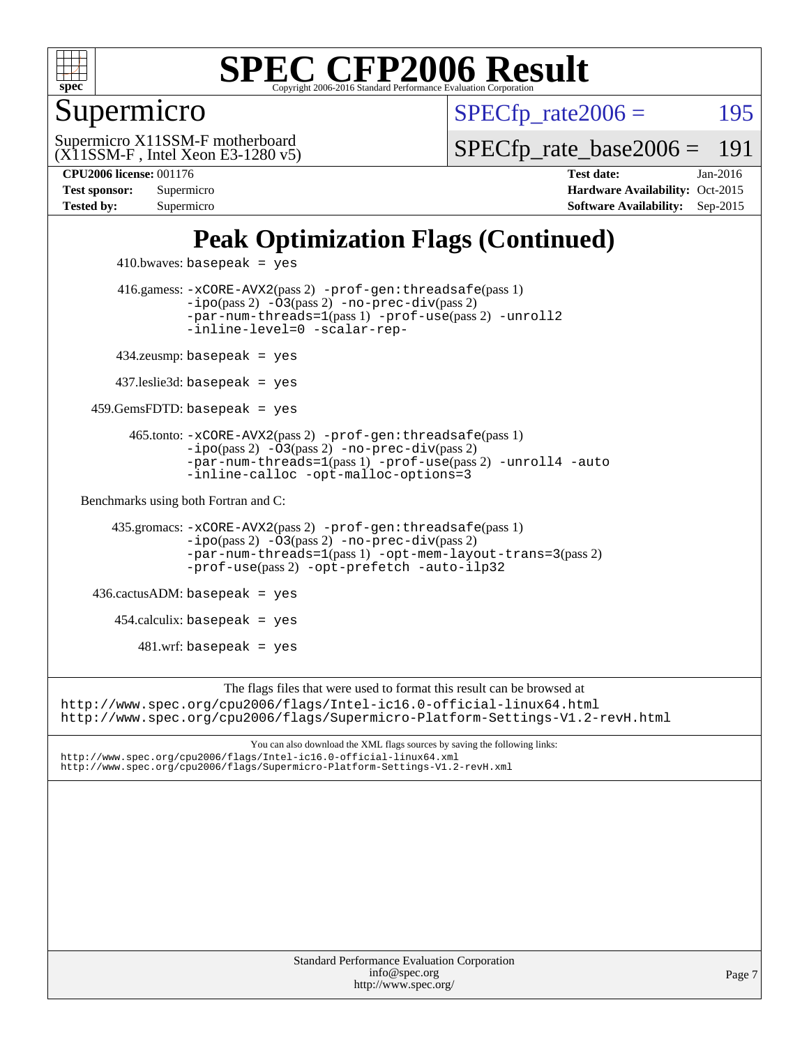

### Supermicro

 $SPECTp\_rate2006 = 195$ 

(X11SSM-F , Intel Xeon E3-1280 v5) Supermicro X11SSM-F motherboard

[SPECfp\\_rate\\_base2006 =](http://www.spec.org/auto/cpu2006/Docs/result-fields.html#SPECfpratebase2006) 191

**[CPU2006 license:](http://www.spec.org/auto/cpu2006/Docs/result-fields.html#CPU2006license)** 001176 **[Test date:](http://www.spec.org/auto/cpu2006/Docs/result-fields.html#Testdate)** Jan-2016 **[Test sponsor:](http://www.spec.org/auto/cpu2006/Docs/result-fields.html#Testsponsor)** Supermicro Supermicro **[Hardware Availability:](http://www.spec.org/auto/cpu2006/Docs/result-fields.html#HardwareAvailability)** Oct-2015 **[Tested by:](http://www.spec.org/auto/cpu2006/Docs/result-fields.html#Testedby)** Supermicro **[Software Availability:](http://www.spec.org/auto/cpu2006/Docs/result-fields.html#SoftwareAvailability)** Sep-2015

### **[Peak Optimization Flags \(Continued\)](http://www.spec.org/auto/cpu2006/Docs/result-fields.html#PeakOptimizationFlags)**

```
410.bwaves: basepeak = yes 416.gamess: -xCORE-AVX2(pass 2) -prof-gen:threadsafe(pass 1)
                  -no-prec-div(pass 2)-par-num-threads=1(pass 1) -prof-use(pass 2) -unroll2
                  -inline-level=0 -scalar-rep-
         434.zeusmp: basepeak = yes
        437.leslie3d: basepeak = yes
     459.GemsFDTD: basepeak = yes
          465.tonto: -xCORE-AVX2(pass 2) -prof-gen:threadsafe(pass 1)
                  -no-prec-div(pass 2)-par-num-threads=1(pass 1) -prof-use(pass 2) -unroll4 -auto
                  -inline-calloc -opt-malloc-options=3
  Benchmarks using both Fortran and C: 
        435.gromacs: -xCORE-AVX2(pass 2) -prof-gen:threadsafe(pass 1)
                  -no-prec-div(pass 2)-par-num-threads=1(pass 1) -opt-mem-layout-trans=3(pass 2)
                  -prof-use(pass 2) -opt-prefetch -auto-ilp32
     436.cactusADM: basepeak = yes
       454.calculix: basepeak = yes
           481.wrf: basepeak = yes
                       The flags files that were used to format this result can be browsed at
http://www.spec.org/cpu2006/flags/Intel-ic16.0-official-linux64.html
http://www.spec.org/cpu2006/flags/Supermicro-Platform-Settings-V1.2-revH.html
                           You can also download the XML flags sources by saving the following links:
http://www.spec.org/cpu2006/flags/Intel-ic16.0-official-linux64.xml
http://www.spec.org/cpu2006/flags/Supermicro-Platform-Settings-V1.2-revH.xml
```